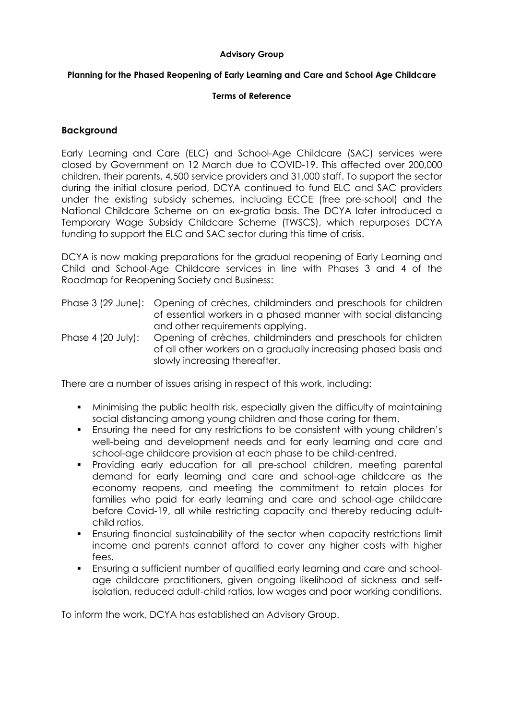#### **Advisory Group**

#### **Planning for the Phased Reopening of Early Learning and Care and School Age Childcare**

#### **Terms of Reference**

## **Background**

Early Learning and Care (ELC) and School-Age Childcare (SAC) services were closed by Government on 12 March due to COVID-19. This affected over 200,000 children, their parents, 4,500 service providers and 31,000 staff. To support the sector during the initial closure period, DCYA continued to fund ELC and SAC providers under the existing subsidy schemes, including ECCE (free pre-school) and the National Childcare Scheme on an ex-gratia basis. The DCYA later introduced a Temporary Wage Subsidy Childcare Scheme (TWSCS), which repurposes DCYA funding to support the ELC and SAC sector during this time of crisis.

DCYA is now making preparations for the gradual reopening of Early Learning and Child and School-Age Childcare services in line with Phases 3 and 4 of the Roadmap for Reopening Society and Business:

- Phase 3 (29 June): Opening of crèches, childminders and preschools for children of essential workers in a phased manner with social distancing and other requirements applying.
- Phase 4 (20 July): Opening of crèches, childminders and preschools for children of all other workers on a gradually increasing phased basis and slowly increasing thereafter.

There are a number of issues arising in respect of this work, including:

- Minimising the public health risk, especially given the difficulty of maintaining social distancing among young children and those caring for them.
- Ensuring the need for any restrictions to be consistent with young children's well-being and development needs and for early learning and care and school-age childcare provision at each phase to be child-centred.
- Providing early education for all pre-school children, meeting parental demand for early learning and care and school-age childcare as the economy reopens, and meeting the commitment to retain places for families who paid for early learning and care and school-age childcare before Covid-19, all while restricting capacity and thereby reducing adultchild ratios.
- Ensuring financial sustainability of the sector when capacity restrictions limit income and parents cannot afford to cover any higher costs with higher fees.
- Ensuring a sufficient number of qualified early learning and care and schoolage childcare practitioners, given ongoing likelihood of sickness and selfisolation, reduced adult-child ratios, low wages and poor working conditions.

To inform the work, DCYA has established an Advisory Group.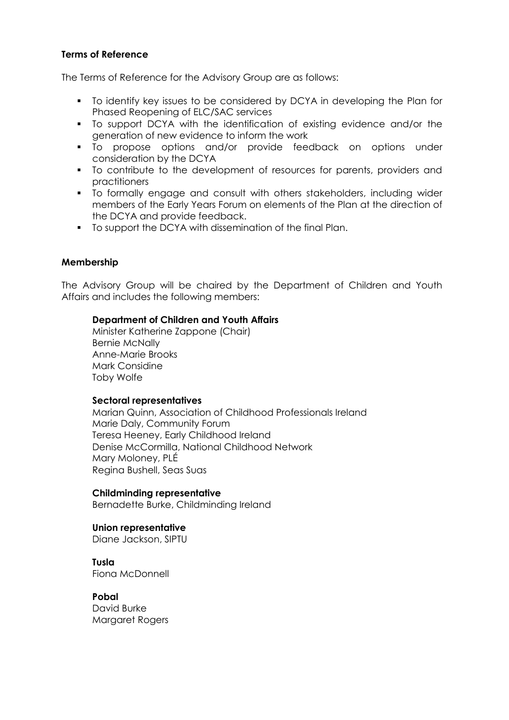# **Terms of Reference**

The Terms of Reference for the Advisory Group are as follows:

- To identify key issues to be considered by DCYA in developing the Plan for Phased Reopening of ELC/SAC services
- To support DCYA with the identification of existing evidence and/or the generation of new evidence to inform the work
- To propose options and/or provide feedback on options under consideration by the DCYA
- To contribute to the development of resources for parents, providers and practitioners
- To formally engage and consult with others stakeholders, including wider members of the Early Years Forum on elements of the Plan at the direction of the DCYA and provide feedback.
- To support the DCYA with dissemination of the final Plan.

# **Membership**

The Advisory Group will be chaired by the Department of Children and Youth Affairs and includes the following members:

## **Department of Children and Youth Affairs**

Minister Katherine Zappone (Chair) Bernie McNally Anne-Marie Brooks Mark Considine Toby Wolfe

## **Sectoral representatives**

Marian Quinn, Association of Childhood Professionals Ireland Marie Daly, Community Forum Teresa Heeney, Early Childhood Ireland Denise McCormilla, National Childhood Network Mary Moloney, PLÉ Regina Bushell, Seas Suas

## **Childminding representative**

Bernadette Burke, Childminding Ireland

## **Union representative**

Diane Jackson, SIPTU

**Tusla** Fiona McDonnell

**Pobal**  David Burke Margaret Rogers